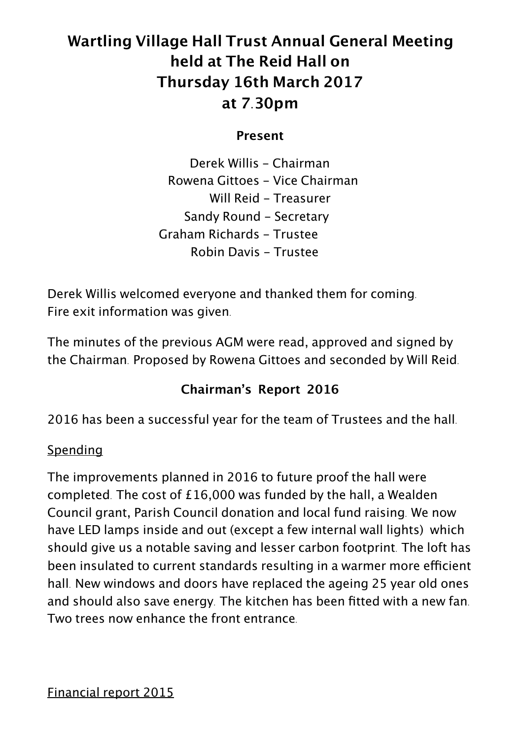# **Wartling Village Hall Trust Annual General Meeting held at The Reid Hall on Thursday 16th March 2017 at 7.30pm**

**Present**

Derek Willis - Chairman Rowena Gittoes - Vice Chairman Will Reid - Treasurer Sandy Round - Secretary Graham Richards - Trustee Robin Davis - Trustee

Derek Willis welcomed everyone and thanked them for coming. Fire exit information was given.

The minutes of the previous AGM were read, approved and signed by the Chairman. Proposed by Rowena Gittoes and seconded by Will Reid.

## **Chairman's Report 2016**

2016 has been a successful year for the team of Trustees and the hall.

#### **Spending**

The improvements planned in 2016 to future proof the hall were completed. The cost of £16,000 was funded by the hall, a Wealden Council grant, Parish Council donation and local fund raising. We now have LED lamps inside and out (except a few internal wall lights) which should give us a notable saving and lesser carbon footprint. The loft has been insulated to current standards resulting in a warmer more efficient hall. New windows and doors have replaced the ageing 25 year old ones and should also save energy. The kitchen has been fitted with a new fan. Two trees now enhance the front entrance.

Financial report 2015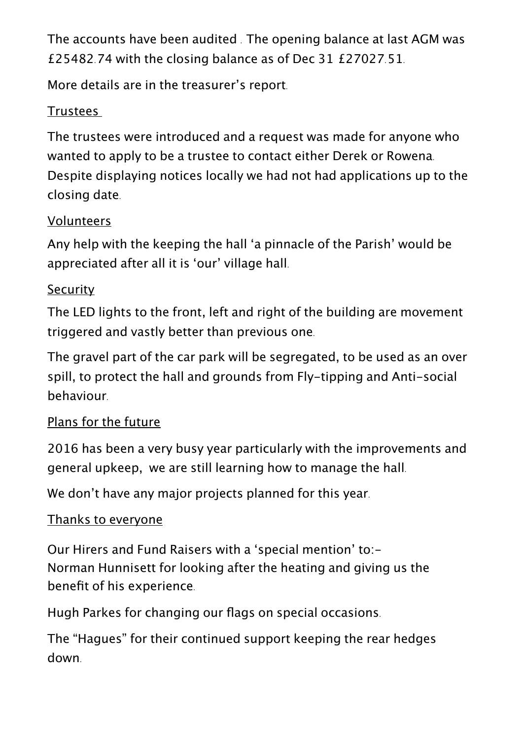The accounts have been audited . The opening balance at last AGM was £25482.74 with the closing balance as of Dec 31 £27027.51.

More details are in the treasurer's report.

## **Trustees**

The trustees were introduced and a request was made for anyone who wanted to apply to be a trustee to contact either Derek or Rowena. Despite displaying notices locally we had not had applications up to the closing date.

## **Volunteers**

Any help with the keeping the hall 'a pinnacle of the Parish' would be appreciated after all it is 'our' village hall.

## **Security**

The LED lights to the front, left and right of the building are movement triggered and vastly better than previous one.

The gravel part of the car park will be segregated, to be used as an over spill, to protect the hall and grounds from Fly-tipping and Anti-social behaviour.

## Plans for the future

2016 has been a very busy year particularly with the improvements and general upkeep, we are still learning how to manage the hall.

We don't have any major projects planned for this year.

## Thanks to everyone

Our Hirers and Fund Raisers with a 'special mention' to:- Norman Hunnisett for looking after the heating and giving us the benefit of his experience.

Hugh Parkes for changing our flags on special occasions.

The "Hagues" for their continued support keeping the rear hedges down.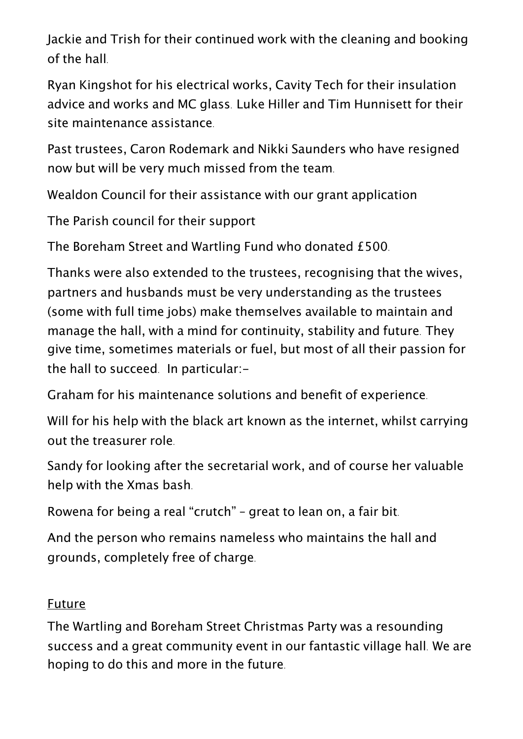Jackie and Trish for their continued work with the cleaning and booking of the hall.

Ryan Kingshot for his electrical works, Cavity Tech for their insulation advice and works and MC glass. Luke Hiller and Tim Hunnisett for their site maintenance assistance.

Past trustees, Caron Rodemark and Nikki Saunders who have resigned now but will be very much missed from the team.

Wealdon Council for their assistance with our grant application

The Parish council for their support

The Boreham Street and Wartling Fund who donated £500.

Thanks were also extended to the trustees, recognising that the wives, partners and husbands must be very understanding as the trustees (some with full time jobs) make themselves available to maintain and manage the hall, with a mind for continuity, stability and future. They give time, sometimes materials or fuel, but most of all their passion for the hall to succeed. In particular:-

Graham for his maintenance solutions and benefit of experience.

Will for his help with the black art known as the internet, whilst carrying out the treasurer role.

Sandy for looking after the secretarial work, and of course her valuable help with the Xmas bash.

Rowena for being a real "crutch" – great to lean on, a fair bit.

And the person who remains nameless who maintains the hall and grounds, completely free of charge.

#### Future

The Wartling and Boreham Street Christmas Party was a resounding success and a great community event in our fantastic village hall. We are hoping to do this and more in the future.